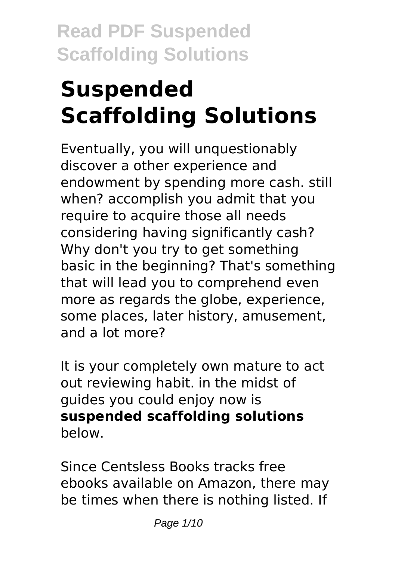# **Suspended Scaffolding Solutions**

Eventually, you will unquestionably discover a other experience and endowment by spending more cash. still when? accomplish you admit that you require to acquire those all needs considering having significantly cash? Why don't you try to get something basic in the beginning? That's something that will lead you to comprehend even more as regards the globe, experience, some places, later history, amusement, and a lot more?

It is your completely own mature to act out reviewing habit. in the midst of guides you could enjoy now is **suspended scaffolding solutions** below.

Since Centsless Books tracks free ebooks available on Amazon, there may be times when there is nothing listed. If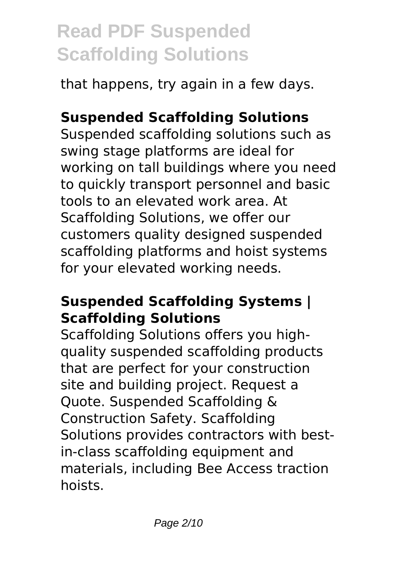that happens, try again in a few days.

### **Suspended Scaffolding Solutions**

Suspended scaffolding solutions such as swing stage platforms are ideal for working on tall buildings where you need to quickly transport personnel and basic tools to an elevated work area. At Scaffolding Solutions, we offer our customers quality designed suspended scaffolding platforms and hoist systems for your elevated working needs.

### **Suspended Scaffolding Systems | Scaffolding Solutions**

Scaffolding Solutions offers you highquality suspended scaffolding products that are perfect for your construction site and building project. Request a Quote. Suspended Scaffolding & Construction Safety. Scaffolding Solutions provides contractors with bestin-class scaffolding equipment and materials, including Bee Access traction hoists.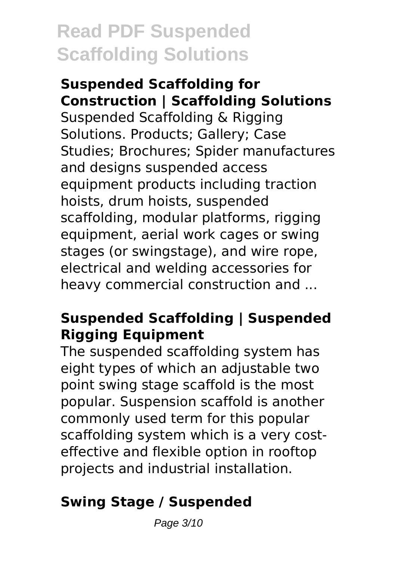**Suspended Scaffolding for Construction | Scaffolding Solutions** Suspended Scaffolding & Rigging Solutions. Products; Gallery; Case Studies; Brochures; Spider manufactures and designs suspended access equipment products including traction hoists, drum hoists, suspended scaffolding, modular platforms, rigging equipment, aerial work cages or swing stages (or swingstage), and wire rope, electrical and welding accessories for heavy commercial construction and ...

### **Suspended Scaffolding | Suspended Rigging Equipment**

The suspended scaffolding system has eight types of which an adjustable two point swing stage scaffold is the most popular. Suspension scaffold is another commonly used term for this popular scaffolding system which is a very costeffective and flexible option in rooftop projects and industrial installation.

### **Swing Stage / Suspended**

Page 3/10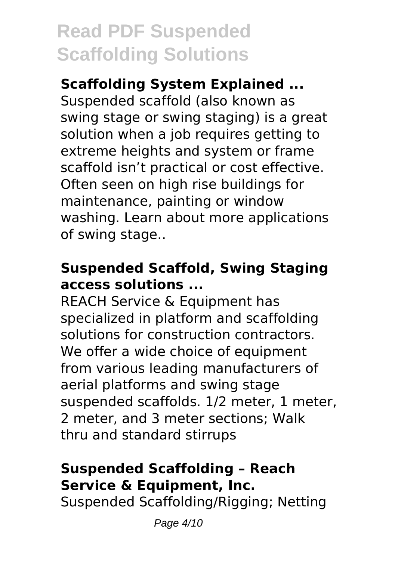### **Scaffolding System Explained ...**

Suspended scaffold (also known as swing stage or swing staging) is a great solution when a job requires getting to extreme heights and system or frame scaffold isn't practical or cost effective. Often seen on high rise buildings for maintenance, painting or window washing. Learn about more applications of swing stage..

### **Suspended Scaffold, Swing Staging access solutions ...**

REACH Service & Equipment has specialized in platform and scaffolding solutions for construction contractors. We offer a wide choice of equipment from various leading manufacturers of aerial platforms and swing stage suspended scaffolds. 1/2 meter, 1 meter, 2 meter, and 3 meter sections; Walk thru and standard stirrups

### **Suspended Scaffolding – Reach Service & Equipment, Inc.**

Suspended Scaffolding/Rigging; Netting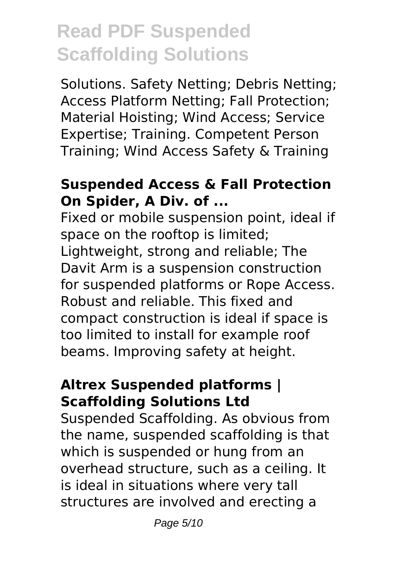Solutions. Safety Netting; Debris Netting; Access Platform Netting; Fall Protection; Material Hoisting; Wind Access; Service Expertise; Training. Competent Person Training; Wind Access Safety & Training

#### **Suspended Access & Fall Protection On Spider, A Div. of ...**

Fixed or mobile suspension point, ideal if space on the rooftop is limited; Lightweight, strong and reliable; The Davit Arm is a suspension construction for suspended platforms or Rope Access. Robust and reliable. This fixed and compact construction is ideal if space is too limited to install for example roof beams. Improving safety at height.

#### **Altrex Suspended platforms | Scaffolding Solutions Ltd**

Suspended Scaffolding. As obvious from the name, suspended scaffolding is that which is suspended or hung from an overhead structure, such as a ceiling. It is ideal in situations where very tall structures are involved and erecting a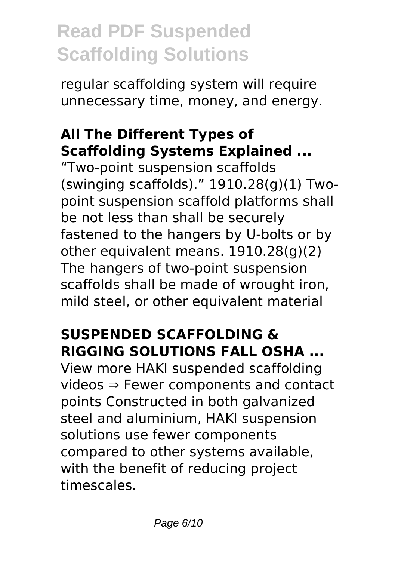regular scaffolding system will require unnecessary time, money, and energy.

### **All The Different Types of Scaffolding Systems Explained ...**

"Two-point suspension scaffolds (swinging scaffolds)." 1910.28(g)(1) Twopoint suspension scaffold platforms shall be not less than shall be securely fastened to the hangers by U-bolts or by other equivalent means. 1910.28(g)(2) The hangers of two-point suspension scaffolds shall be made of wrought iron, mild steel, or other equivalent material

## **SUSPENDED SCAFFOLDING & RIGGING SOLUTIONS FALL OSHA ...**

View more HAKI suspended scaffolding videos ⇒ Fewer components and contact points Constructed in both galvanized steel and aluminium, HAKI suspension solutions use fewer components compared to other systems available, with the benefit of reducing project timescales.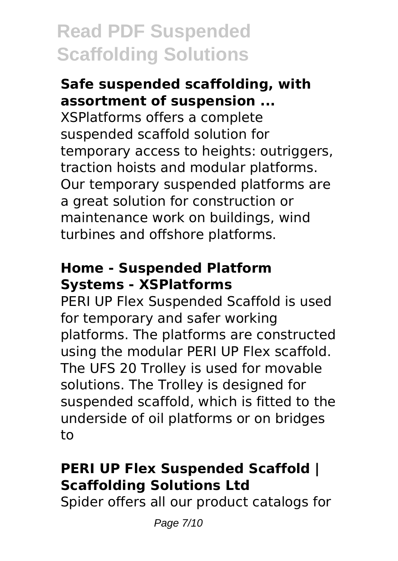#### **Safe suspended scaffolding, with assortment of suspension ...**

XSPlatforms offers a complete suspended scaffold solution for temporary access to heights: outriggers, traction hoists and modular platforms. Our temporary suspended platforms are a great solution for construction or maintenance work on buildings, wind turbines and offshore platforms.

#### **Home - Suspended Platform Systems - XSPlatforms**

PERI UP Flex Suspended Scaffold is used for temporary and safer working platforms. The platforms are constructed using the modular PERI UP Flex scaffold. The UFS 20 Trolley is used for movable solutions. The Trolley is designed for suspended scaffold, which is fitted to the underside of oil platforms or on bridges to

### **PERI UP Flex Suspended Scaffold | Scaffolding Solutions Ltd**

Spider offers all our product catalogs for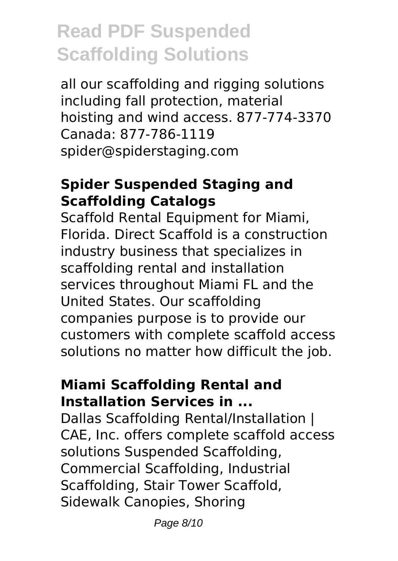all our scaffolding and rigging solutions including fall protection, material hoisting and wind access. 877-774-3370 Canada: 877-786-1119 spider@spiderstaging.com

#### **Spider Suspended Staging and Scaffolding Catalogs**

Scaffold Rental Equipment for Miami, Florida. Direct Scaffold is a construction industry business that specializes in scaffolding rental and installation services throughout Miami FL and the United States. Our scaffolding companies purpose is to provide our customers with complete scaffold access solutions no matter how difficult the job.

#### **Miami Scaffolding Rental and Installation Services in ...**

Dallas Scaffolding Rental/Installation | CAE, Inc. offers complete scaffold access solutions Suspended Scaffolding, Commercial Scaffolding, Industrial Scaffolding, Stair Tower Scaffold, Sidewalk Canopies, Shoring